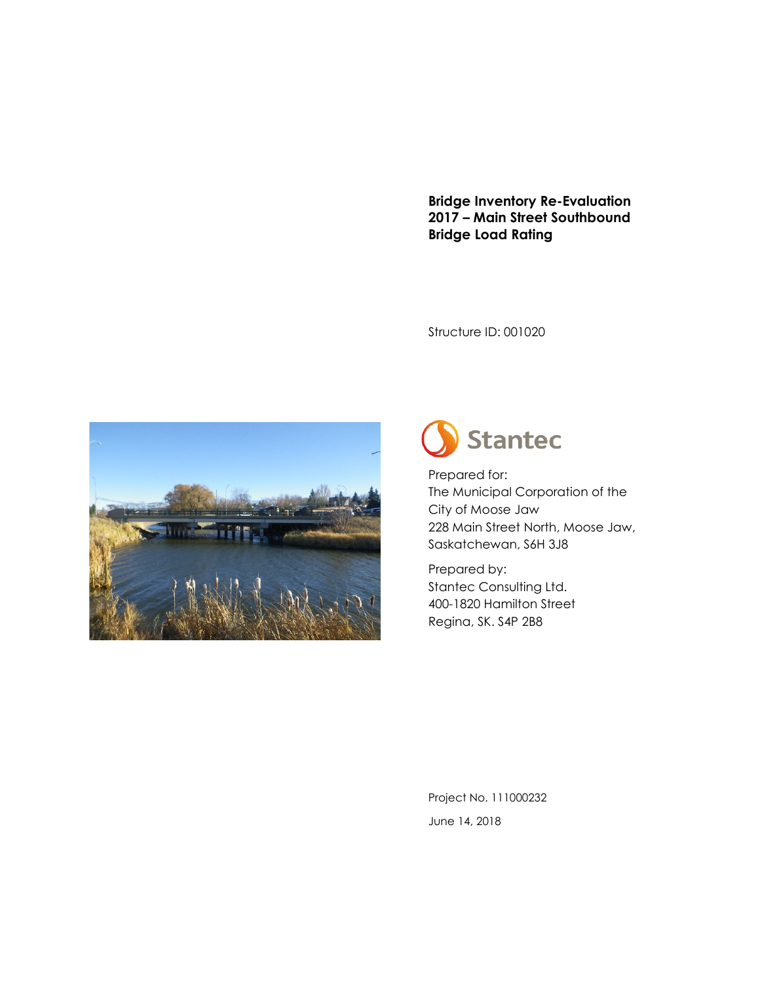**Bridge Inventory Re-Evaluation 2017 – Main Street Southbound Bridge Load Rating**

Structure ID: 001020





Prepared for: The Municipal Corporation of the City of Moose Jaw 228 Main Street North, Moose Jaw, Saskatchewan, S6H 3J8

Prepared by: Stantec Consulting Ltd. 400-1820 Hamilton Street Regina, SK. S4P 2B8

Project No. 111000232 June 14, 2018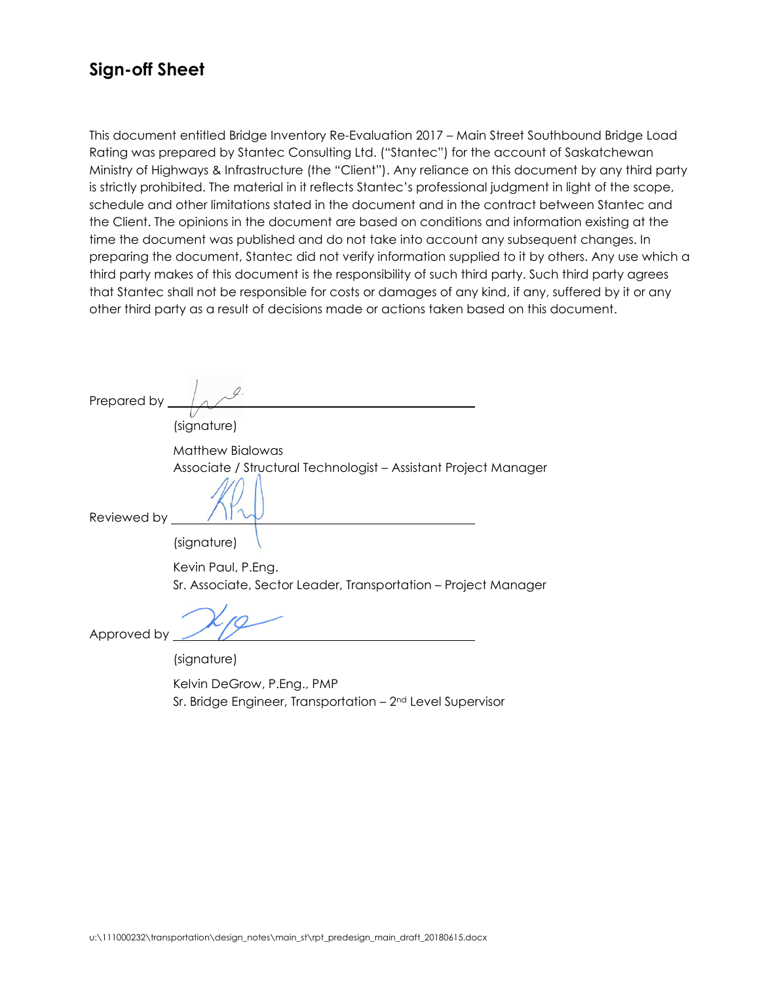## **Sign-off Sheet**

This document entitled Bridge Inventory Re-Evaluation 2017 – Main Street Southbound Bridge Load Rating was prepared by Stantec Consulting Ltd. ("Stantec") for the account of Saskatchewan Ministry of Highways & Infrastructure (the "Client"). Any reliance on this document by any third party is strictly prohibited. The material in it reflects Stantec's professional judgment in light of the scope, schedule and other limitations stated in the document and in the contract between Stantec and the Client. The opinions in the document are based on conditions and information existing at the time the document was published and do not take into account any subsequent changes. In preparing the document, Stantec did not verify information supplied to it by others. Any use which a third party makes of this document is the responsibility of such third party. Such third party agrees that Stantec shall not be responsible for costs or damages of any kind, if any, suffered by it or any other third party as a result of decisions made or actions taken based on this document.

Prepared by

(signature)

Matthew Bialowas Associate / Structural Technologist – Assistant Project Manager

Reviewed by

Approved by

(signature)

Kevin Paul, P.Eng. Sr. Associate, Sector Leader, Transportation – Project Manager

(signature)

Kelvin DeGrow, P.Eng., PMP Sr. Bridge Engineer, Transportation – 2nd Level Supervisor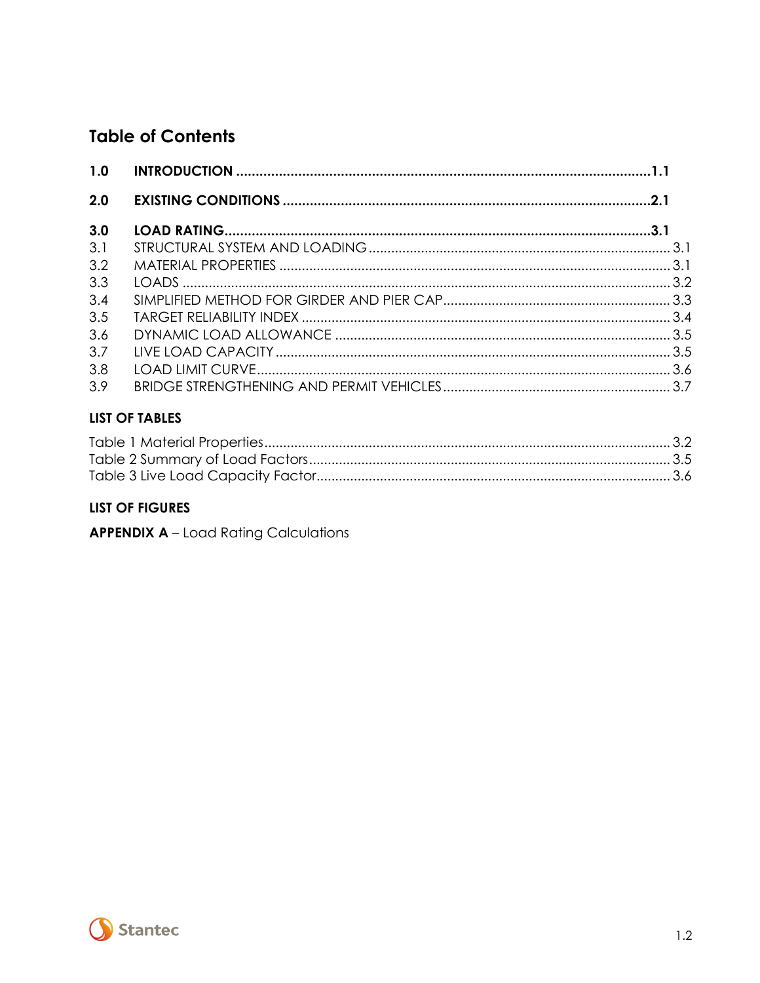## **Table of Contents**

| 1.0 |  |
|-----|--|
| 2.0 |  |
| 3.0 |  |
| 3.1 |  |
| 3.2 |  |
| 3.3 |  |
| 3.4 |  |
| 3.5 |  |
| 3.6 |  |
| 3.7 |  |
| 3.8 |  |
| 3.9 |  |

### **LIST OF TABLES**

### LIST OF FIGURES

**APPENDIX A** - Load Rating Calculations

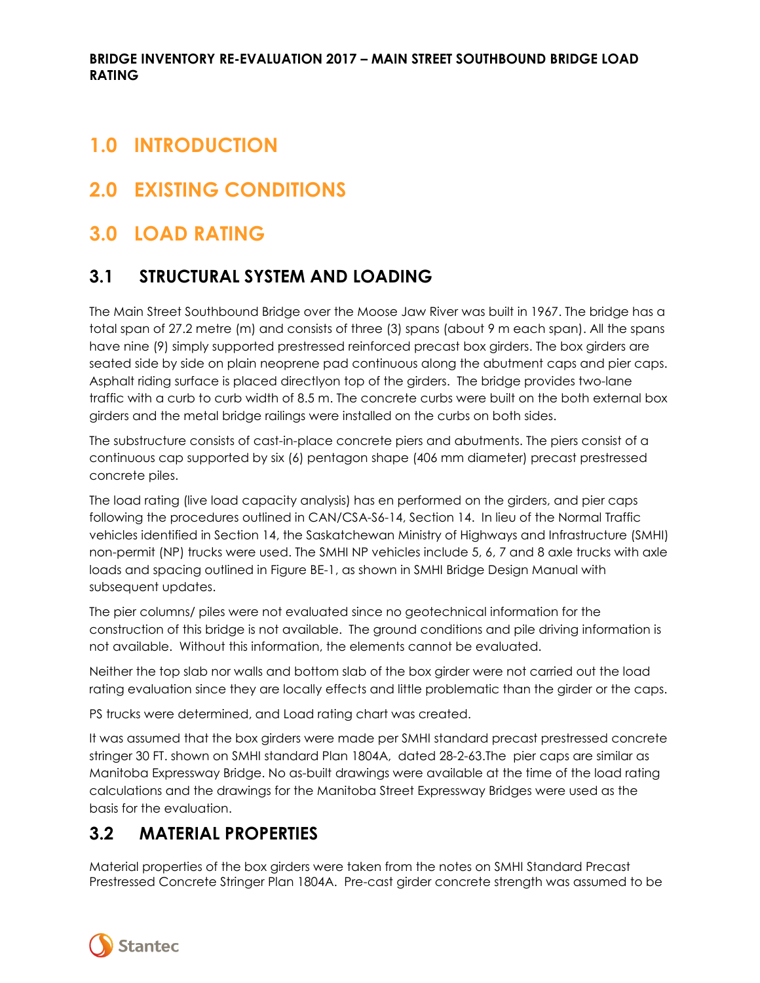# <span id="page-3-0"></span>**1.0 INTRODUCTION**

# <span id="page-3-1"></span>**2.0 EXISTING CONDITIONS**

# <span id="page-3-2"></span>**3.0 LOAD RATING**

## <span id="page-3-3"></span>**3.1 STRUCTURAL SYSTEM AND LOADING**

The Main Street Southbound Bridge over the Moose Jaw River was built in 1967. The bridge has a total span of 27.2 metre (m) and consists of three (3) spans (about 9 m each span). All the spans have nine (9) simply supported prestressed reinforced precast box girders. The box girders are seated side by side on plain neoprene pad continuous along the abutment caps and pier caps. Asphalt riding surface is placed directlyon top of the girders. The bridge provides two-lane traffic with a curb to curb width of 8.5 m. The concrete curbs were built on the both external box girders and the metal bridge railings were installed on the curbs on both sides.

The substructure consists of cast-in-place concrete piers and abutments. The piers consist of a continuous cap supported by six (6) pentagon shape (406 mm diameter) precast prestressed concrete piles.

The load rating (live load capacity analysis) has en performed on the girders, and pier caps following the procedures outlined in CAN/CSA-S6-14, Section 14. In lieu of the Normal Traffic vehicles identified in Section 14, the Saskatchewan Ministry of Highways and Infrastructure (SMHI) non-permit (NP) trucks were used. The SMHI NP vehicles include 5, 6, 7 and 8 axle trucks with axle loads and spacing outlined in Figure BE-1, as shown in SMHI Bridge Design Manual with subsequent updates.

The pier columns/ piles were not evaluated since no geotechnical information for the construction of this bridge is not available. The ground conditions and pile driving information is not available. Without this information, the elements cannot be evaluated.

Neither the top slab nor walls and bottom slab of the box girder were not carried out the load rating evaluation since they are locally effects and little problematic than the girder or the caps.

PS trucks were determined, and Load rating chart was created.

It was assumed that the box girders were made per SMHI standard precast prestressed concrete stringer 30 FT. shown on SMHI standard Plan 1804A, dated 28-2-63.The pier caps are similar as Manitoba Expressway Bridge. No as-built drawings were available at the time of the load rating calculations and the drawings for the Manitoba Street Expressway Bridges were used as the basis for the evaluation.

## <span id="page-3-4"></span>**3.2 MATERIAL PROPERTIES**

Material properties of the box girders were taken from the notes on SMHI Standard Precast Prestressed Concrete Stringer Plan 1804A. Pre-cast girder concrete strength was assumed to be

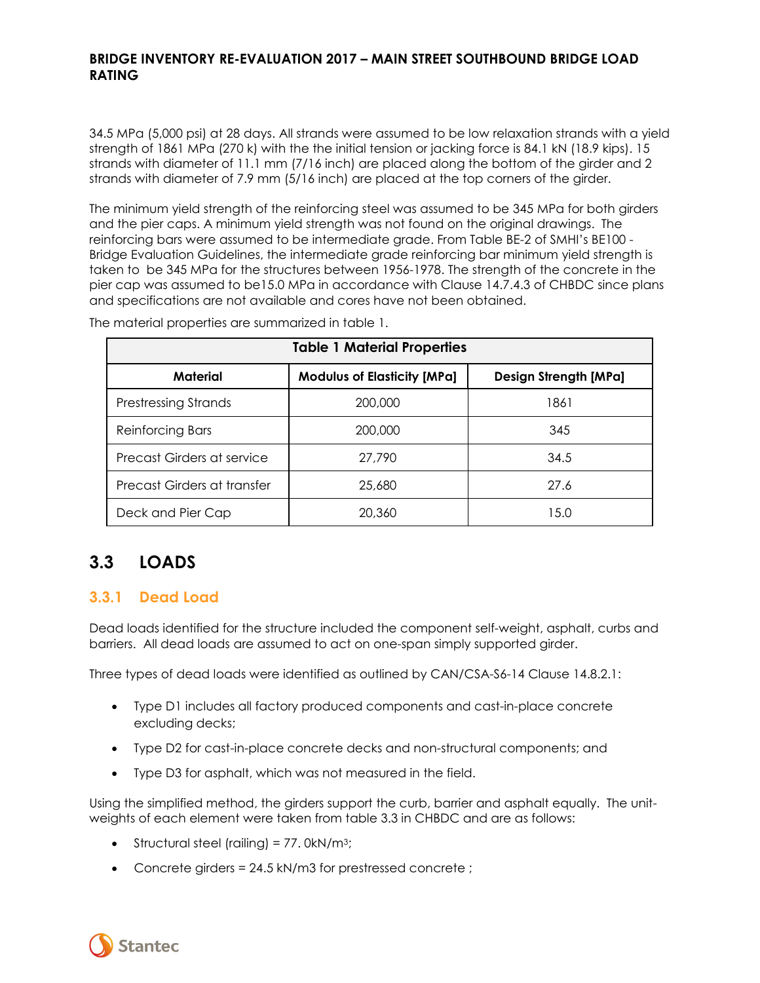34.5 MPa (5,000 psi) at 28 days. All strands were assumed to be low relaxation strands with a yield strength of 1861 MPa (270 k) with the the initial tension or jacking force is 84.1 kN (18.9 kips). 15 strands with diameter of 11.1 mm (7/16 inch) are placed along the bottom of the girder and 2 strands with diameter of 7.9 mm (5/16 inch) are placed at the top corners of the girder.

The minimum yield strength of the reinforcing steel was assumed to be 345 MPa for both girders and the pier caps. A minimum yield strength was not found on the original drawings. The reinforcing bars were assumed to be intermediate grade. From Table BE-2 of SMHI's BE100 - Bridge Evaluation Guidelines, the intermediate grade reinforcing bar minimum yield strength is taken to be 345 MPa for the structures between 1956-1978. The strength of the concrete in the pier cap was assumed to be15.0 MPa in accordance with Clause 14.7.4.3 of CHBDC since plans and specifications are not available and cores have not been obtained.

<span id="page-4-1"></span>

| <b>Table 1 Material Properties</b> |                                    |                              |  |  |  |
|------------------------------------|------------------------------------|------------------------------|--|--|--|
| Material                           | <b>Modulus of Elasticity [MPa]</b> | <b>Design Strength [MPa]</b> |  |  |  |
| <b>Prestressing Strands</b>        | 200,000                            | 1861                         |  |  |  |
| <b>Reinforcing Bars</b>            | 200,000                            | 345                          |  |  |  |
| Precast Girders at service         | 27,790                             | 34.5                         |  |  |  |
| Precast Girders at transfer        | 25,680                             | 27.6                         |  |  |  |
| Deck and Pier Cap                  | 20,360                             | 15.0                         |  |  |  |

The material properties are summarized in table 1.

## <span id="page-4-0"></span>**3.3 LOADS**

### **3.3.1 Dead Load**

Dead loads identified for the structure included the component self-weight, asphalt, curbs and barriers. All dead loads are assumed to act on one-span simply supported girder.

Three types of dead loads were identified as outlined by CAN/CSA-S6-14 Clause 14.8.2.1:

- Type D1 includes all factory produced components and cast-in-place concrete excluding decks;
- Type D2 for cast-in-place concrete decks and non-structural components; and
- Type D3 for asphalt, which was not measured in the field.

Using the simplified method, the girders support the curb, barrier and asphalt equally. The unitweights of each element were taken from table 3.3 in CHBDC and are as follows:

- Structural steel (railing) =  $77.0 \text{kN/m}^3$ ;
- Concrete girders = 24.5 kN/m3 for prestressed concrete ;

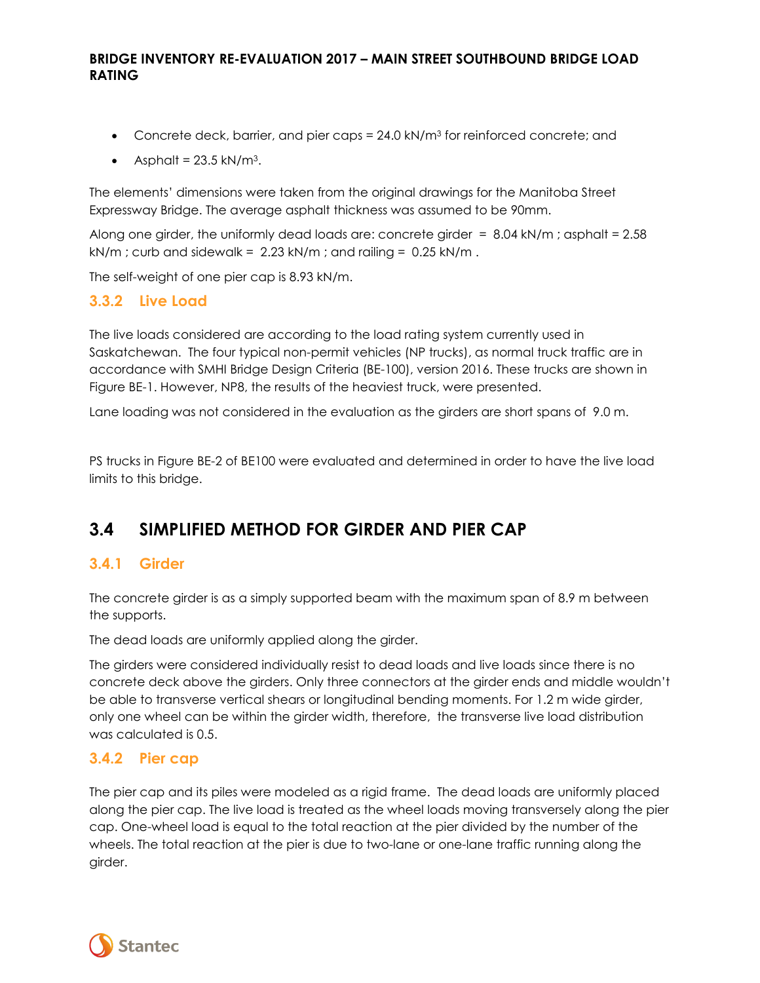- Concrete deck, barrier, and pier caps = 24.0 kN/m<sup>3</sup> for reinforced concrete; and
- Asphalt =  $23.5 \text{ kN/m}^3$ .

The elements' dimensions were taken from the original drawings for the Manitoba Street Expressway Bridge. The average asphalt thickness was assumed to be 90mm.

Along one girder, the uniformly dead loads are: concrete girder  $= 8.04 \text{ kN/m}$ ; asphalt  $= 2.58$  $kN/m$  ; curb and sidewalk = 2.23 kN/m ; and railing = 0.25 kN/m.

The self-weight of one pier cap is 8.93 kN/m.

#### **3.3.2 Live Load**

The live loads considered are according to the load rating system currently used in Saskatchewan. The four typical non-permit vehicles (NP trucks), as normal truck traffic are in accordance with SMHI Bridge Design Criteria (BE-100), version 2016. These trucks are shown in Figure BE-1. However, NP8, the results of the heaviest truck, were presented.

Lane loading was not considered in the evaluation as the girders are short spans of 9.0 m.

PS trucks in Figure BE-2 of BE100 were evaluated and determined in order to have the live load limits to this bridge.

## <span id="page-5-0"></span>**3.4 SIMPLIFIED METHOD FOR GIRDER AND PIER CAP**

#### **3.4.1 Girder**

The concrete girder is as a simply supported beam with the maximum span of 8.9 m between the supports.

The dead loads are uniformly applied along the girder.

The girders were considered individually resist to dead loads and live loads since there is no concrete deck above the girders. Only three connectors at the girder ends and middle wouldn't be able to transverse vertical shears or longitudinal bending moments. For 1.2 m wide girder, only one wheel can be within the girder width, therefore, the transverse live load distribution was calculated is 0.5.

#### **3.4.2 Pier cap**

The pier cap and its piles were modeled as a rigid frame. The dead loads are uniformly placed along the pier cap. The live load is treated as the wheel loads moving transversely along the pier cap. One-wheel load is equal to the total reaction at the pier divided by the number of the wheels. The total reaction at the pier is due to two-lane or one-lane traffic running along the girder.

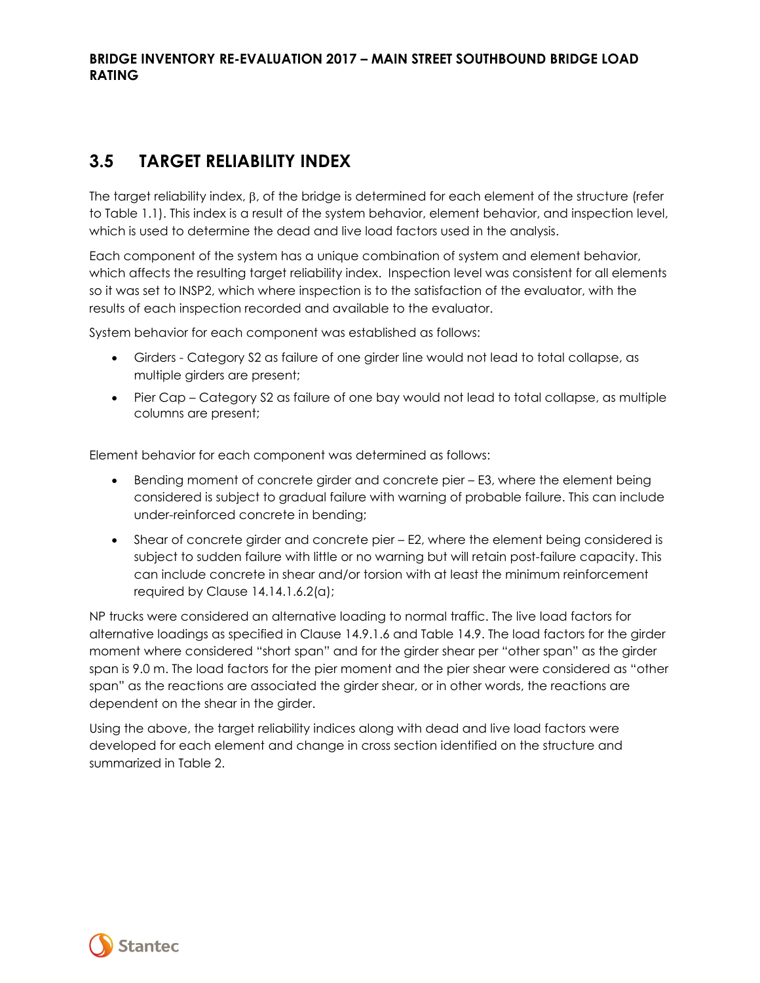## <span id="page-6-0"></span>**3.5 TARGET RELIABILITY INDEX**

The target reliability index, β, of the bridge is determined for each element of the structure (refer to Table 1.1). This index is a result of the system behavior, element behavior, and inspection level, which is used to determine the dead and live load factors used in the analysis.

Each component of the system has a unique combination of system and element behavior, which affects the resulting target reliability index. Inspection level was consistent for all elements so it was set to INSP2, which where inspection is to the satisfaction of the evaluator, with the results of each inspection recorded and available to the evaluator.

System behavior for each component was established as follows:

- Girders Category S2 as failure of one girder line would not lead to total collapse, as multiple girders are present;
- Pier Cap Category S2 as failure of one bay would not lead to total collapse, as multiple columns are present;

Element behavior for each component was determined as follows:

- Bending moment of concrete girder and concrete pier E3, where the element being considered is subject to gradual failure with warning of probable failure. This can include under-reinforced concrete in bending;
- Shear of concrete girder and concrete pier E2, where the element being considered is subject to sudden failure with little or no warning but will retain post-failure capacity. This can include concrete in shear and/or torsion with at least the minimum reinforcement required by Clause 14.14.1.6.2(a);

NP trucks were considered an alternative loading to normal traffic. The live load factors for alternative loadings as specified in Clause 14.9.1.6 and Table 14.9. The load factors for the girder moment where considered "short span" and for the girder shear per "other span" as the girder span is 9.0 m. The load factors for the pier moment and the pier shear were considered as "other span" as the reactions are associated the girder shear, or in other words, the reactions are dependent on the shear in the girder.

Using the above, the target reliability indices along with dead and live load factors were developed for each element and change in cross section identified on the structure and summarized in Table 2.

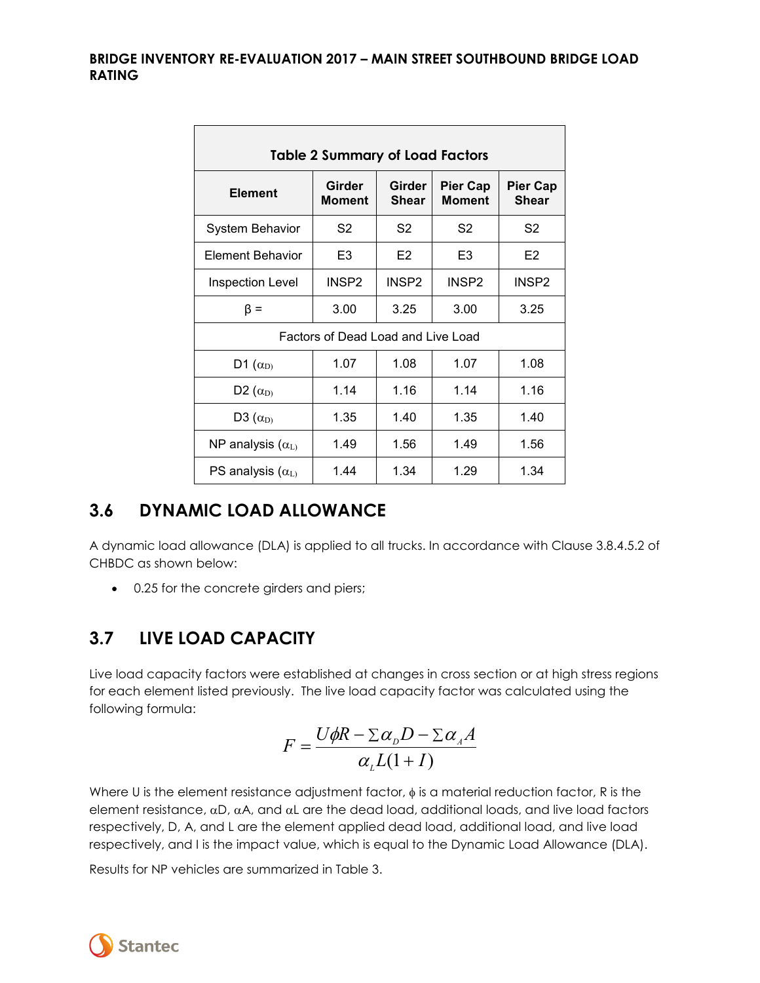<span id="page-7-2"></span>

| <b>Table 2 Summary of Load Factors</b> |                   |                        |                                  |                                 |  |  |
|----------------------------------------|-------------------|------------------------|----------------------------------|---------------------------------|--|--|
| <b>Element</b>                         | Girder<br>Moment  | Girder<br><b>Shear</b> | <b>Pier Cap</b><br><b>Moment</b> | <b>Pier Cap</b><br><b>Shear</b> |  |  |
| <b>System Behavior</b>                 | S <sub>2</sub>    | S <sub>2</sub>         | S2                               | S2                              |  |  |
| Element Behavior                       | E <sub>3</sub>    | E <sub>2</sub>         | E3                               | E2                              |  |  |
| <b>Inspection Level</b>                | INSP <sub>2</sub> | INSP <sub>2</sub>      | INSP <sub>2</sub>                | INSP <sub>2</sub>               |  |  |
| $\beta =$                              | 3.00              | 3.25                   | 3.00                             | 3.25                            |  |  |
| Factors of Dead Load and Live Load     |                   |                        |                                  |                                 |  |  |
| D1 $(\alpha_{D})$                      | 1.07              | 1.08                   | 1.07                             | 1.08                            |  |  |
| D <sub>2</sub> $(\alpha_{D}$           | 1.14              | 1.16                   | 1.14                             | 1.16                            |  |  |
| D3 $(\alpha_{D})$                      | 1.35              | 1.40                   | 1.35                             | 1.40                            |  |  |
| NP analysis $(\alpha_{L})$             | 1.49              | 1.56                   | 1.49                             | 1.56                            |  |  |
| PS analysis $(\alpha_{L})$             | 1.44              | 1.34                   | 1.29                             | 1.34                            |  |  |

## <span id="page-7-0"></span>**3.6 DYNAMIC LOAD ALLOWANCE**

A dynamic load allowance (DLA) is applied to all trucks. In accordance with Clause 3.8.4.5.2 of CHBDC as shown below:

• 0.25 for the concrete girders and piers;

## <span id="page-7-1"></span>**3.7 LIVE LOAD CAPACITY**

Live load capacity factors were established at changes in cross section or at high stress regions for each element listed previously. The live load capacity factor was calculated using the following formula:

$$
F = \frac{U\phi R - \sum \alpha D - \sum \alpha A}{\alpha L(1+I)}
$$

Where U is the element resistance adjustment factor,  $\phi$  is a material reduction factor, R is the element resistance,  $\alpha D$ ,  $\alpha A$ , and  $\alpha L$  are the dead load, additional loads, and live load factors respectively, D, A, and L are the element applied dead load, additional load, and live load respectively, and I is the impact value, which is equal to the Dynamic Load Allowance (DLA).

Results for NP vehicles are summarized in Table 3.

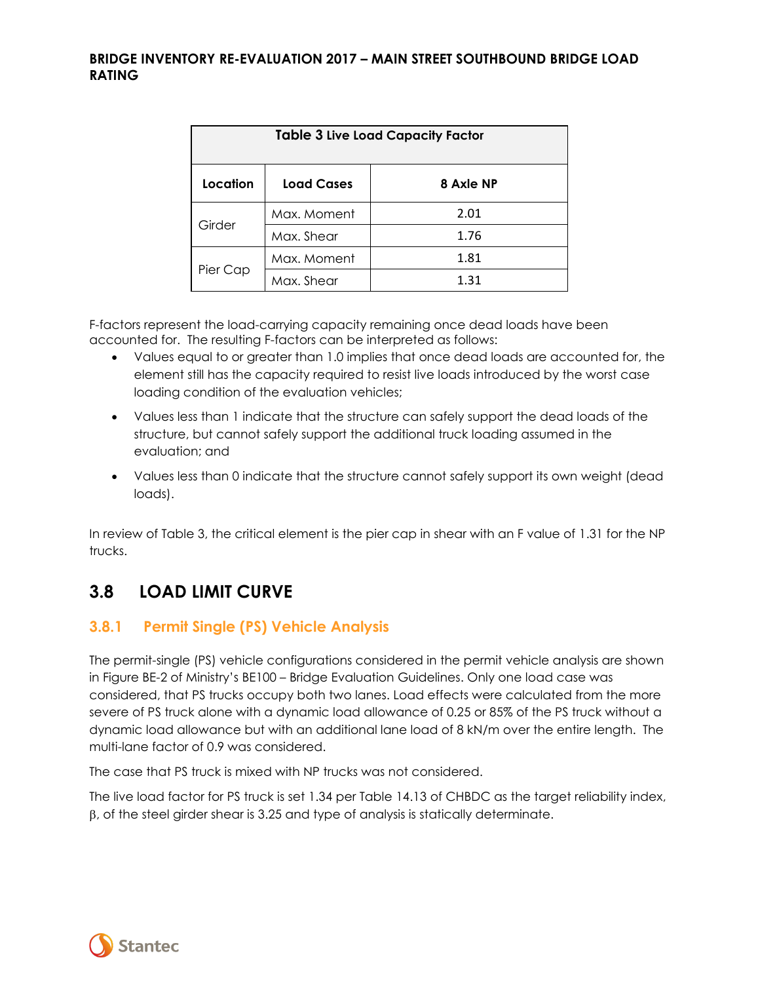<span id="page-8-1"></span>

| <b>Table 3 Live Load Capacity Factor</b> |                   |           |  |  |
|------------------------------------------|-------------------|-----------|--|--|
| Location                                 | <b>Load Cases</b> | 8 Axle NP |  |  |
| Girder                                   | Max. Moment       | 2.01      |  |  |
|                                          | Max, Shear        | 1.76      |  |  |
|                                          | Max. Moment       | 1.81      |  |  |
| Pier Cap                                 | Max, Shear        | 1.31      |  |  |

F-factors represent the load-carrying capacity remaining once dead loads have been accounted for. The resulting F-factors can be interpreted as follows:

- Values equal to or greater than 1.0 implies that once dead loads are accounted for, the element still has the capacity required to resist live loads introduced by the worst case loading condition of the evaluation vehicles;
- Values less than 1 indicate that the structure can safely support the dead loads of the structure, but cannot safely support the additional truck loading assumed in the evaluation; and
- Values less than 0 indicate that the structure cannot safely support its own weight (dead loads).

In review of Table 3, the critical element is the pier cap in shear with an F value of 1.31 for the NP trucks.

## <span id="page-8-0"></span>**3.8 LOAD LIMIT CURVE**

### **3.8.1 Permit Single (PS) Vehicle Analysis**

The permit-single (PS) vehicle configurations considered in the permit vehicle analysis are shown in Figure BE-2 of Ministry's BE100 – Bridge Evaluation Guidelines. Only one load case was considered, that PS trucks occupy both two lanes. Load effects were calculated from the more severe of PS truck alone with a dynamic load allowance of 0.25 or 85% of the PS truck without a dynamic load allowance but with an additional lane load of 8 kN/m over the entire length. The multi-lane factor of 0.9 was considered.

The case that PS truck is mixed with NP trucks was not considered.

The live load factor for PS truck is set 1.34 per Table 14.13 of CHBDC as the target reliability index, β, of the steel girder shear is 3.25 and type of analysis is statically determinate.

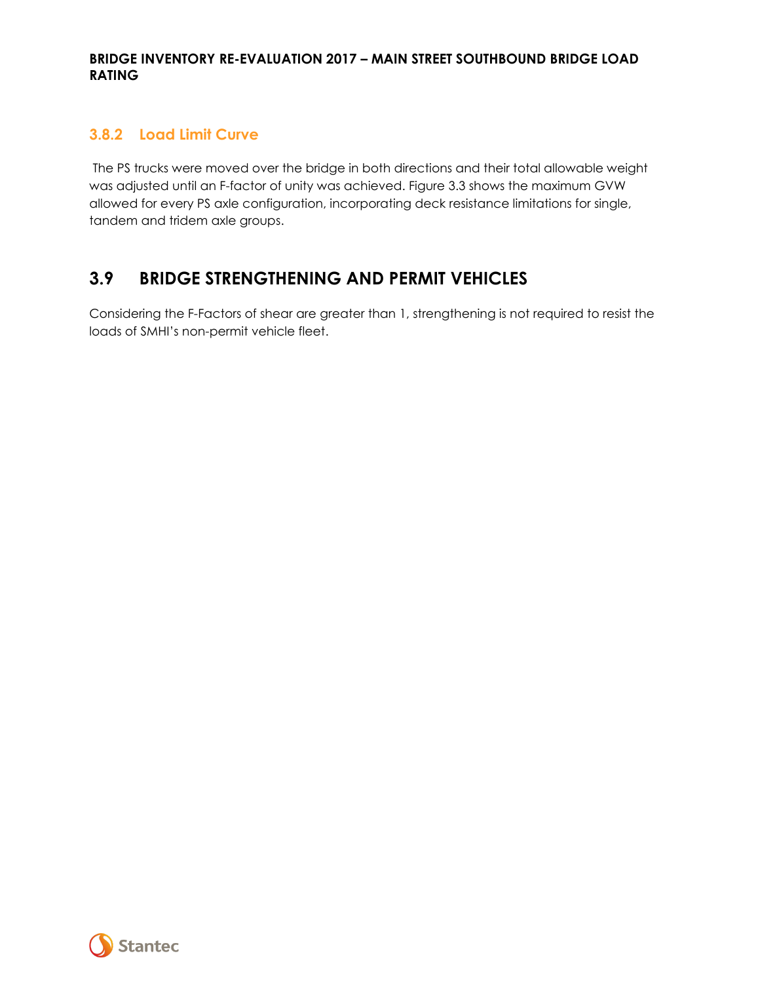### **3.8.2 Load Limit Curve**

The PS trucks were moved over the bridge in both directions and their total allowable weight was adjusted until an F-factor of unity was achieved. Figure 3.3 shows the maximum GVW allowed for every PS axle configuration, incorporating deck resistance limitations for single, tandem and tridem axle groups.

## <span id="page-9-0"></span>**3.9 BRIDGE STRENGTHENING AND PERMIT VEHICLES**

Considering the F-Factors of shear are greater than 1, strengthening is not required to resist the loads of SMHI's non-permit vehicle fleet.